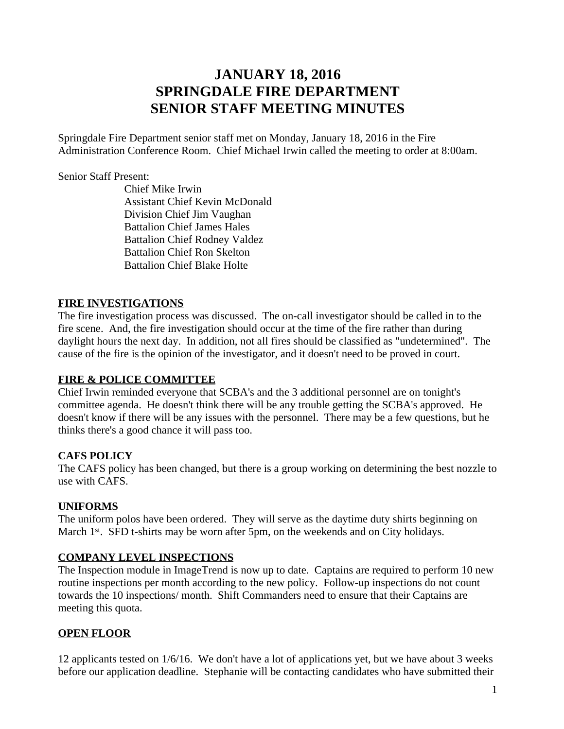# **JANUARY 18, 2016 SPRINGDALE FIRE DEPARTMENT SENIOR STAFF MEETING MINUTES**

Springdale Fire Department senior staff met on Monday, January 18, 2016 in the Fire Administration Conference Room. Chief Michael Irwin called the meeting to order at 8:00am.

#### Senior Staff Present:

Chief Mike Irwin Assistant Chief Kevin McDonald Division Chief Jim Vaughan Battalion Chief James Hales Battalion Chief Rodney Valdez Battalion Chief Ron Skelton Battalion Chief Blake Holte

## **FIRE INVESTIGATIONS**

The fire investigation process was discussed. The on-call investigator should be called in to the fire scene. And, the fire investigation should occur at the time of the fire rather than during daylight hours the next day. In addition, not all fires should be classified as "undetermined". The cause of the fire is the opinion of the investigator, and it doesn't need to be proved in court.

#### **FIRE & POLICE COMMITTEE**

Chief Irwin reminded everyone that SCBA's and the 3 additional personnel are on tonight's committee agenda. He doesn't think there will be any trouble getting the SCBA's approved. He doesn't know if there will be any issues with the personnel. There may be a few questions, but he thinks there's a good chance it will pass too.

## **CAFS POLICY**

The CAFS policy has been changed, but there is a group working on determining the best nozzle to use with CAFS.

#### **UNIFORMS**

The uniform polos have been ordered. They will serve as the daytime duty shirts beginning on March 1<sup>st</sup>. SFD t-shirts may be worn after 5pm, on the weekends and on City holidays.

## **COMPANY LEVEL INSPECTIONS**

The Inspection module in ImageTrend is now up to date. Captains are required to perform 10 new routine inspections per month according to the new policy. Follow-up inspections do not count towards the 10 inspections/ month. Shift Commanders need to ensure that their Captains are meeting this quota.

## **OPEN FLOOR**

12 applicants tested on 1/6/16. We don't have a lot of applications yet, but we have about 3 weeks before our application deadline. Stephanie will be contacting candidates who have submitted their